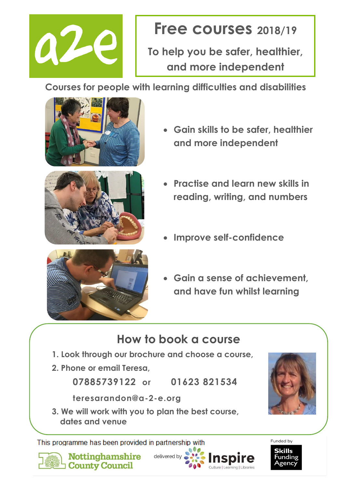

# **Free courses 2018/19**

**To help you be safer, healthier, and more independent**

**Courses for people with learning difficulties and disabilities**







- **Gain skills to be safer, healthier and more independent**
- **Practise and learn new skills in reading, writing, and numbers**
- **Improve self-confidence**
- **Gain a sense of achievement, and have fun whilst learning**

**Inspire** 

Culture II ea

## **How to book a course**

- **1. Look through our brochure and choose a course,**
- **2. Phone or email Teresa,**

**07885739122 or 01623 821534** 

**teresarandon@a-2-e.org**

**3. We will work with you to plan the best course, dates and venue**

This programme has been provided in partnership with



**Nottinghamshire** County Council

delivered by



Funded by **Skills** unding zenc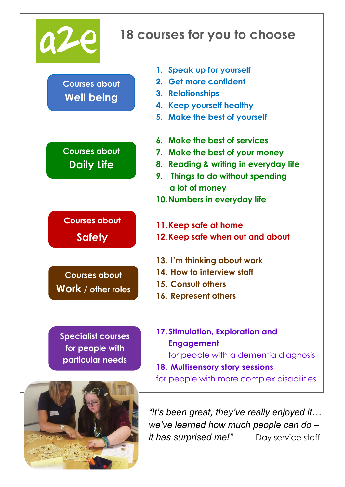

## **18 courses for you to choose**

**Courses about Well being**

**Courses about Daily Life**

**Courses about Safety**

**Courses about Work / other roles**

**Specialist courses for people with particular needs**



- **1. Speak up for yourself**
- **2. Get more confident**
- **3. Relationships**
- **4. Keep yourself healthy**
- **5. Make the best of yourself**
- **6. Make the best of services**
- **7. Make the best of your money**
- **8. Reading & writing in everyday life**
- **9. Things to do without spending a lot of money**
- **10.Numbers in everyday life**
- **11.Keep safe at home**
- **12.Keep safe when out and about**
- **13. I'm thinking about work**
- **14. How to interview staff**
- **15. Consult others**
- **16. Represent others**
- **17.Stimulation, Exploration and Engagement**

for people with a dementia diagnosis

- **18. Multisensory story sessions**
- for people with more complex disabilities

*"It's been great, they've really enjoyed it… we've learned how much people can do – it has surprised me!"* Day service staff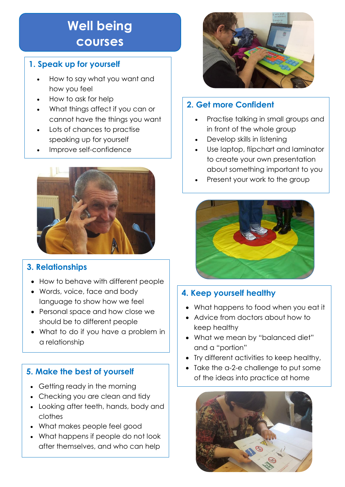# **Well being courses**

#### **1. Speak up for yourself**

- How to say what you want and how you feel
- How to ask for help
- What things affect if you can or cannot have the things you want
- Lots of chances to practise speaking up for yourself
- Improve self-confidence



#### **3. Relationships**

- How to behave with different people
- Words, voice, face and body language to show how we feel
- Personal space and how close we should be to different people
- What to do if you have a problem in a relationship

## **5. Make the best of yourself**

- Getting ready in the morning
- Checking you are clean and tidy
- Looking after teeth, hands, body and clothes
- What makes people feel good
- What happens if people do not look after themselves, and who can help



## **2. Get more Confident**

- Practise talking in small groups and in front of the whole group
- Develop skills in listening
- Use laptop, flipchart and laminator to create your own presentation about something important to you
- Present your work to the group



### **4. Keep yourself healthy**

- What happens to food when you eat it
- Advice from doctors about how to keep healthy
- What we mean by "balanced diet" and a "portion"
- Try different activities to keep healthy,
- Take the a-2-e challenge to put some of the ideas into practice at home

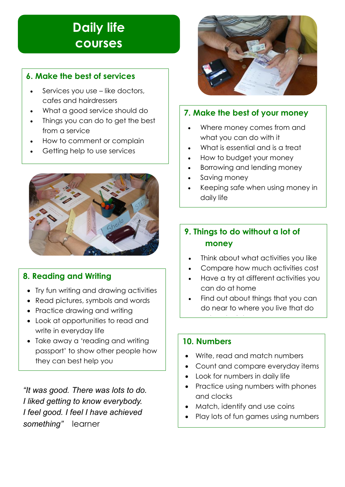## **Daily life courses**

#### **6. Make the best of services**

- Services you use like doctors, cafes and hairdressers
- What a good service should do
- Things you can do to get the best from a service
- How to comment or complain
- Getting help to use services



#### **8. Reading and Writing**

- Try fun writing and drawing activities
- Read pictures, symbols and words
- Practice drawing and writing
- Look at opportunities to read and write in everyday life
- Take away a 'reading and writing passport' to show other people how they can best help you

*"It was good. There was lots to do. I liked getting to know everybody. I feel good. I feel I have achieved something"* learner



#### **7. Make the best of your money**

- Where money comes from and what you can do with it
- What is essential and is a treat
- How to budget your money
- Borrowing and lending money
- Saving money
- Keeping safe when using money in daily life

#### **9. Things to do without a lot of money**

- Think about what activities you like
- Compare how much activities cost
- Have a try at different activities you can do at home
- Find out about things that you can do near to where you live that do

#### **10. Numbers**

not cost a lot of the cost of the cost of the cost of the cost of the cost of the cost of the cost of the cost<br>The cost of the cost of the cost of the cost of the cost of the cost of the cost of the cost of the cost of th

- Write, read and match numbers
- Count and compare everyday items
- Look for numbers in daily life
- Practice using numbers with phones and clocks
- Match, identify and use coins
- Play lots of fun games using numbers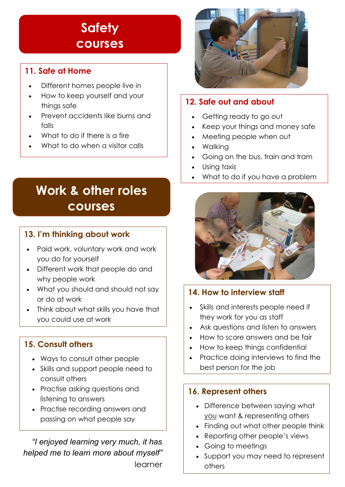## **Safety courses**

#### **11. Safe at Home**

- Different homes people live in
- How to keep yourself and your things safe
- Prevent accidents like burns and falls
- What to do if there is a fire
- What to do when a visitor calls

# **Work & other roles courses**

#### **13. I'm thinking about work**

- Paid work, voluntary work and work you do for yourself
- Different work that people do and why people work
- What you should and should not say or do at work
- Think about what skills you have that you could use at work

#### **15. Consult others**

- Ways to consult other people
- Skills and support people need to consult others
- Practise asking questions and listening to answers
- Practise recording answers and passing on what people say

*"I enjoyed learning very much, it has helped me to learn more about myself"*  learner



### **12. Safe out and about**

- Getting ready to go out
- Keep your things and money safe
- Meeting people when out
- Walking
- Going on the bus, train and tram
- Using taxis
- What to do if you have a problem



#### **14. How to interview staff**

- Skills and interests people need if they work for you as staff
- Ask questions and listen to answers
- How to score answers and be fair
- How to keep things confidential
- Practice doing interviews to find the best person for the job

#### **16. Represent others**

- Difference between saying what you want & representing others
- Finding out what other people think
- Reporting other people's views
- Going to meetings
- Support you may need to represent others